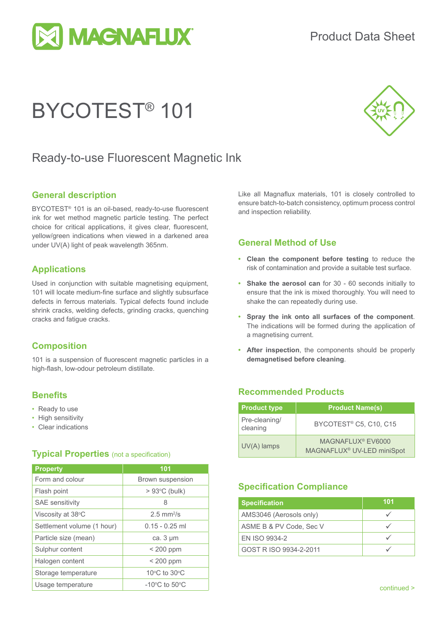

# BYCOTEST® 101



### Ready-to-use Fluorescent Magnetic Ink

#### **General description**

BYCOTEST® 101 is an oil-based, ready-to-use fluorescent ink for wet method magnetic particle testing. The perfect choice for critical applications, it gives clear, fluorescent, yellow/green indications when viewed in a darkened area under UV(A) light of peak wavelength 365nm.

#### **Applications**

Used in conjunction with suitable magnetising equipment, 101 will locate medium-fine surface and slightly subsurface defects in ferrous materials. Typical defects found include shrink cracks, welding defects, grinding cracks, quenching cracks and fatigue cracks.

#### **Composition**

101 is a suspension of fluorescent magnetic particles in a high-flash, low-odour petroleum distillate.

#### **Benefits**

- Ready to use
- High sensitivity
- Clear indications

#### **Typical Properties** (not a specification)

| <b>Property</b>            | 101                                |  |
|----------------------------|------------------------------------|--|
| Form and colour            | <b>Brown suspension</b>            |  |
| Flash point                | $> 93^{\circ}$ C (bulk)            |  |
| <b>SAE</b> sensitivity     | 8                                  |  |
| Viscosity at 38°C          | $2.5$ mm <sup>2</sup> /s           |  |
| Settlement volume (1 hour) | $0.15 - 0.25$ ml                   |  |
| Particle size (mean)       | ca. $3 \mu m$                      |  |
| Sulphur content            | $< 200$ ppm                        |  |
| Halogen content            | $< 200$ ppm                        |  |
| Storage temperature        | 10°C to 30°C                       |  |
| Usage temperature          | $-10^{\circ}$ C to 50 $^{\circ}$ C |  |

Like all Magnaflux materials, 101 is closely controlled to ensure batch-to-batch consistency, optimum process control and inspection reliability.

#### **General Method of Use**

- **• Clean the component before testing** to reduce the risk of contamination and provide a suitable test surface.
- **• Shake the aerosol can** for 30 60 seconds initially to ensure that the ink is mixed thoroughly. You will need to shake the can repeatedly during use.
- **• Spray the ink onto all surfaces of the component**. The indications will be formed during the application of a magnetising current.
- **• After inspection**, the components should be properly **demagnetised before cleaning**.

#### **Recommended Products**

| <b>Product type</b>       | <b>Product Name(s)</b>                                                  |
|---------------------------|-------------------------------------------------------------------------|
| Pre-cleaning/<br>cleaning | BYCOTEST <sup>®</sup> C5, C10, C15                                      |
| $UV(A)$ lamps             | MAGNAFLUX <sup>®</sup> EV6000<br>MAGNAFLUX <sup>®</sup> UV-LED miniSpot |

#### **Specification Compliance**

| <b>Specification</b>    | 101 |
|-------------------------|-----|
| AMS3046 (Aerosols only) |     |
| ASME B & PV Code, Sec V |     |
| EN ISO 9934-2           |     |
| GOST R ISO 9934-2-2011  |     |